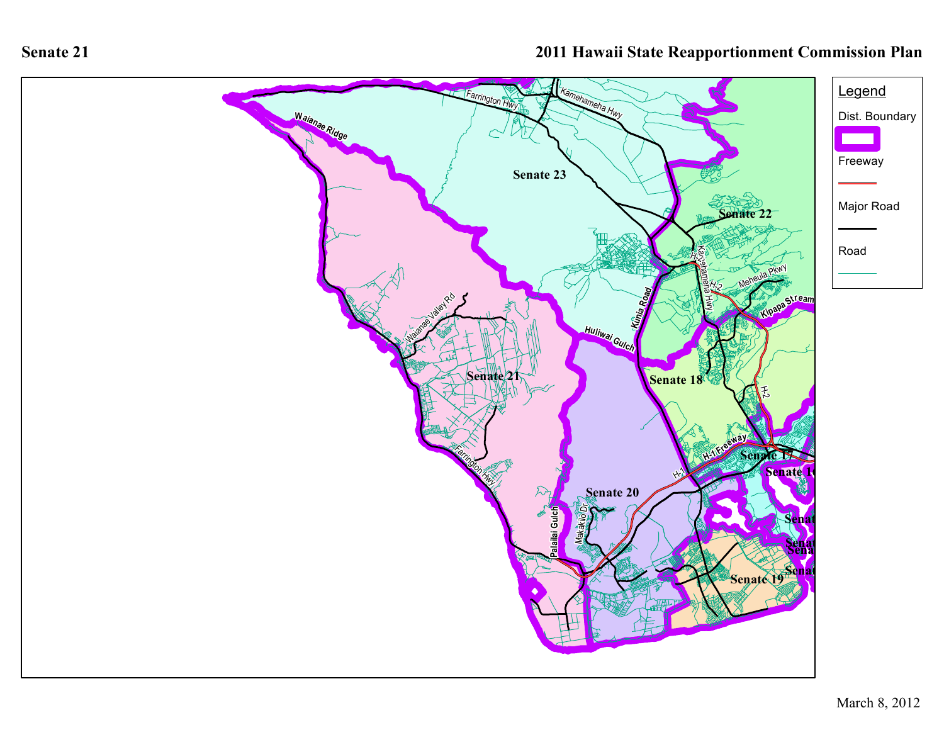

**Senate 21**